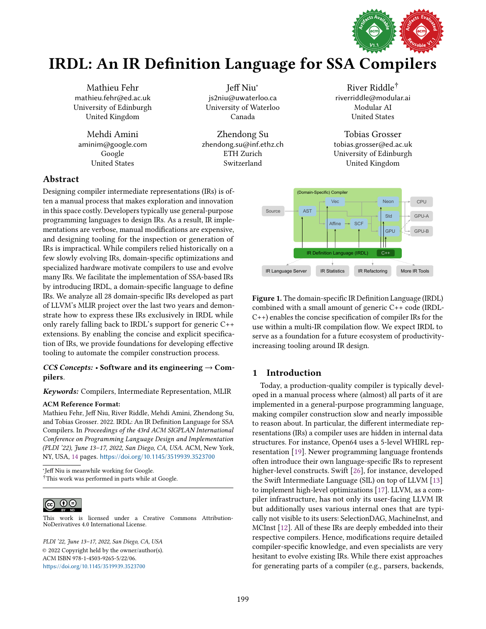

# IRDL: An IR Definition Language for SSA Compilers

Mathieu Fehr mathieu.fehr@ed.ac.uk University of Edinburgh United Kingdom

Mehdi Amini aminim@google.com Google United States

Jeff Niu<sup>∗</sup> js2niu@uwaterloo.ca University of Waterloo Canada

Zhendong Su zhendong.su@inf.ethz.ch ETH Zurich Switzerland

# Abstract

Designing compiler intermediate representations (IRs) is often a manual process that makes exploration and innovation in this space costly. Developers typically use general-purpose programming languages to design IRs. As a result, IR implementations are verbose, manual modifications are expensive, and designing tooling for the inspection or generation of IRs is impractical. While compilers relied historically on a few slowly evolving IRs, domain-specific optimizations and specialized hardware motivate compilers to use and evolve many IRs. We facilitate the implementation of SSA-based IRs by introducing IRDL, a domain-specific language to define IRs. We analyze all 28 domain-specific IRs developed as part of LLVM's MLIR project over the last two years and demonstrate how to express these IRs exclusively in IRDL while only rarely falling back to IRDL's support for generic C++ extensions. By enabling the concise and explicit specification of IRs, we provide foundations for developing effective tooling to automate the compiler construction process.

# CCS Concepts:  $\cdot$  Software and its engineering  $\rightarrow$  Compilers.

# Keywords: Compilers, Intermediate Representation, MLIR

#### ACM Reference Format:

Mathieu Fehr, Jeff Niu, River Riddle, Mehdi Amini, Zhendong Su, and Tobias Grosser. 2022. IRDL: An IR Definition Language for SSA Compilers. In Proceedings of the 43rd ACM SIGPLAN International Conference on Programming Language Design and Implementation (PLDI '22), June 13-17, 2022, San Diego, CA, USA. ACM, New York, NY, USA, [14](#page-13-0) pages. <https://doi.org/10.1145/3519939.3523700>

∗ Jeff Niu is meanwhile working for Google. <sup>†</sup>This work was performed in parts while at Google.



[This work is licensed under a Creative Commons Attribution-](http://creativecommons.org/licenses/by-nd/4.0/)NoDerivatives 4.0 International License.

PLDI '22, June 13-17, 2022, San Diego, CA, USA © 2022 Copyright held by the owner/author(s). ACM ISBN 978-1-4503-9265-5/22/06. <https://doi.org/10.1145/3519939.3523700>

River Riddle<sup>†</sup> riverriddle@modular.ai Modular AI United States

Tobias Grosser tobias.grosser@ed.ac.uk University of Edinburgh United Kingdom

<span id="page-0-0"></span>

Figure 1. The domain-specific IR Definition Language (IRDL) combined with a small amount of generic C++ code (IRDL-C++) enables the concise specification of compiler IRs for the use within a multi-IR compilation flow. We expect IRDL to serve as a foundation for a future ecosystem of productivityincreasing tooling around IR design.

# 1 Introduction

Today, a production-quality compiler is typically developed in a manual process where (almost) all parts of it are implemented in a general-purpose programming language, making compiler construction slow and nearly impossible to reason about. In particular, the different intermediate representations (IRs) a compiler uses are hidden in internal data structures. For instance, Open64 uses a 5-level WHIRL representation [\[19\]](#page-13-1). Newer programming language frontends often introduce their own language-specific IRs to represent higher-level constructs. Swift [\[26\]](#page-13-2), for instance, developed the Swift Intermediate Language (SIL) on top of LLVM [\[13\]](#page-13-3) to implement high-level optimizations [\[17\]](#page-13-4). LLVM, as a compiler infrastructure, has not only its user-facing LLVM IR but additionally uses various internal ones that are typically not visible to its users: SelectionDAG, MachineInst, and MCInst [\[12\]](#page-13-5). All of these IRs are deeply embedded into their respective compilers. Hence, modifications require detailed compiler-specific knowledge, and even specialists are very hesitant to evolve existing IRs. While there exist approaches for generating parts of a compiler (e.g., parsers, backends,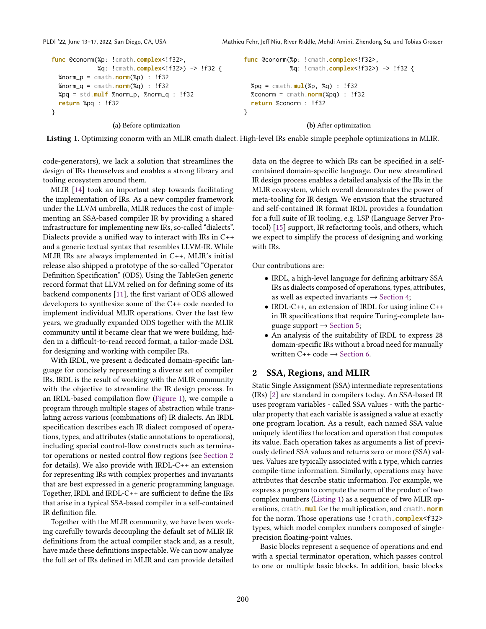PLDI '22, June 13-17, 2022, San Diego, CA, USA Mathieu Fehr, Jeff Niu, River Riddle, Mehdi Amini, Zhendong Su, and Tobias Grosser

```
func @conorm(%p: !cmath.complex<!f32>,
             %q: !cmath.complex<!f32>) -> !f32 {
  %norm_p = cmath.norm(%p) : !f32
  %norm_q = cmath.norm(%q) : !f32
 %pq = std.mulf %norm_p, %norm_q : !f32
  return %pq : !f32
}
                 (a) Before optimization
                                                        func @conorm(%p: !cmath.complex<!f32>,
                                                                      %q: !cmath.complex<!f32>) -> !f32 {
                                                          %pq = cmath.mul(%p, %q) : !f32
                                                          %conorm = cmath.norm(%pq) : !f32
                                                          return %conorm : !f32
                                                        }
                                                                          (b) After optimization
```
Listing 1. Optimizing conorm with an MLIR cmath dialect. High-level IRs enable simple peephole optimizations in MLIR.

code-generators), we lack a solution that streamlines the design of IRs themselves and enables a strong library and tooling ecosystem around them.

MLIR [\[14\]](#page-13-6) took an important step towards facilitating the implementation of IRs. As a new compiler framework under the LLVM umbrella, MLIR reduces the cost of implementing an SSA-based compiler IR by providing a shared infrastructure for implementing new IRs, so-called "dialects". Dialects provide a unified way to interact with IRs in C++ and a generic textual syntax that resembles LLVM-IR. While MLIR IRs are always implemented in C++, MLIR's initial release also shipped a prototype of the so-called "Operator" Definition Specification" (ODS). Using the TableGen generic record format that LLVM relied on for defining some of its backend components [\[11\]](#page-13-7), the first variant of ODS allowed developers to synthesize some of the C++ code needed to implement individual MLIR operations. Over the last few years, we gradually expanded ODS together with the MLIR community until it became clear that we were building, hidden in a difficult-to-read record format, a tailor-made DSL for designing and working with compiler IRs.

With IRDL, we present a dedicated domain-specific language for concisely representing a diverse set of compiler IRs. IRDL is the result of working with the MLIR community with the objective to streamline the IR design process. In an IRDL-based compilation flow [\(Figure 1\)](#page-0-0), we compile a program through multiple stages of abstraction while translating across various (combinations of) IR dialects. An IRDL specification describes each IR dialect composed of operations, types, and attributes (static annotations to operations), including special control-flow constructs such as terminator operations or nested control flow regions (see [Section 2](#page-1-0) for details). We also provide with IRDL-C++ an extension for representing IRs with complex properties and invariants that are best expressed in a generic programming language. Together, IRDL and IRDL-C++ are sufficient to define the IRs that arise in a typical SSA-based compiler in a self-contained IR definition file.

Together with the MLIR community, we have been working carefully towards decoupling the default set of MLIR IR definitions from the actual compiler stack and, as a result, have made these definitions inspectable. We can now analyze the full set of IRs defined in MLIR and can provide detailed

data on the degree to which IRs can be specified in a selfcontained domain-specific language. Our new streamlined IR design process enables a detailed analysis of the IRs in the MLIR ecosystem, which overall demonstrates the power of meta-tooling for IR design. We envision that the structured and self-contained IR format IRDL provides a foundation for a full suite of IR tooling, e.g. LSP (Language Server Protocol) [\[15\]](#page-13-8) support, IR refactoring tools, and others, which we expect to simplify the process of designing and working with IRs.

Our contributions are:

- IRDL, a high-level language for defining arbitrary SSA IRs as dialects composed of operations, types, attributes, as well as expected invariants  $\rightarrow$  [Section 4;](#page-3-0)
- IRDL-C++, an extension of IRDL for using inline C++ in IR specifications that require Turing-complete language support  $\rightarrow$  [Section 5;](#page-6-0)
- An analysis of the suitability of IRDL to express 28 domain-specific IRs without a broad need for manually written C++ code  $\rightarrow$  [Section 6.](#page-6-1)

# <span id="page-1-0"></span>2 SSA, Regions, and MLIR

Static Single Assignment (SSA) intermediate representations (IRs) [\[2\]](#page-12-0) are standard in compilers today. An SSA-based IR uses program variables - called SSA values - with the particular property that each variable is assigned a value at exactly one program location. As a result, each named SSA value uniquely identifies the location and operation that computes its value. Each operation takes as arguments a list of previously defined SSA values and returns zero or more (SSA) values. Values are typically associated with a type, which carries compile-time information. Similarly, operations may have attributes that describe static information. For example, we express a program to compute the norm of the product of two complex numbers [\(Listing 1\)](#page-1-1) as a sequence of two MLIR operations, cmath.**mul** for the multiplication, and cmath.**norm** for the norm. Those operations use !cmath.**complex**<f32> types, which model complex numbers composed of singleprecision floating-point values.

Basic blocks represent a sequence of operations and end with a special terminator operation, which passes control to one or multiple basic blocks. In addition, basic blocks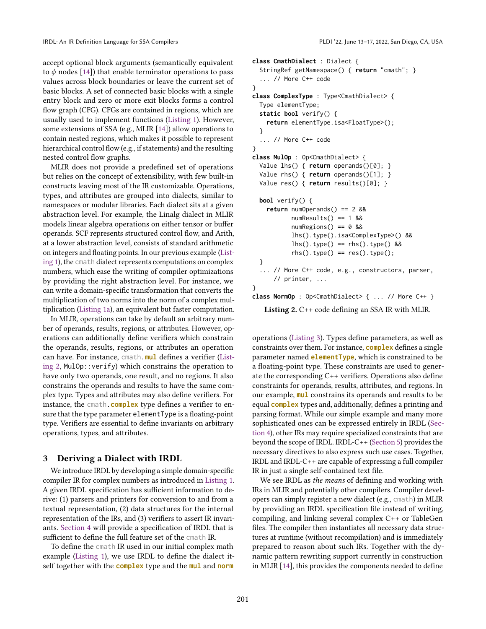accept optional block arguments (semantically equivalent to  $\phi$  nodes [\[14\]](#page-13-6)) that enable terminator operations to pass values across block boundaries or leave the current set of basic blocks. A set of connected basic blocks with a single entry block and zero or more exit blocks forms a control flow graph (CFG). CFGs are contained in regions, which are usually used to implement functions [\(Listing 1\)](#page-1-1). However, some extensions of SSA (e.g., MLIR [\[14\]](#page-13-6)) allow operations to contain nested regions, which makes it possible to represent hierarchical control flow (e.g., if statements) and the resulting nested control flow graphs.

MLIR does not provide a predefined set of operations but relies on the concept of extensibility, with few built-in constructs leaving most of the IR customizable. Operations, types, and attributes are grouped into dialects, similar to namespaces or modular libraries. Each dialect sits at a given abstraction level. For example, the Linalg dialect in MLIR models linear algebra operations on either tensor or buffer operands. SCF represents structured control flow, and Arith, at a lower abstraction level, consists of standard arithmetic on integers and floating points. In our previous example [\(List](#page-1-1)[ing 1\)](#page-1-1), the cmath dialect represents computations on complex numbers, which ease the writing of compiler optimizations by providing the right abstraction level. For instance, we can write a domain-specific transformation that converts the multiplication of two norms into the norm of a complex multiplication [\(Listing 1a\)](#page-1-1), an equivalent but faster computation.

In MLIR, operations can take by default an arbitrary number of operands, results, regions, or attributes. However, operations can additionally define verifiers which constrain the operands, results, regions, or attributes an operation can have. For instance, cmath.**mul** defines a verifier [\(List](#page-2-0)[ing 2,](#page-2-0) MulOp::verify) which constrains the operation to have only two operands, one result, and no regions. It also constrains the operands and results to have the same complex type. Types and attributes may also define verifiers. For instance, the cmath.**complex** type defines a verifier to ensure that the type parameter elementType is a floating-point type. Verifiers are essential to define invariants on arbitrary operations, types, and attributes.

# 3 Deriving a Dialect with IRDL

We introduce IRDL by developing a simple domain-specific compiler IR for complex numbers as introduced in [Listing 1.](#page-1-1) A given IRDL specification has sufficient information to derive: (1) parsers and printers for conversion to and from a textual representation, (2) data structures for the internal representation of the IRs, and (3) verifiers to assert IR invariants. [Section 4](#page-3-0) will provide a specification of IRDL that is sufficient to define the full feature set of the cmath IR.

To define the cmath IR used in our initial complex math example [\(Listing 1\)](#page-1-1), we use IRDL to define the dialect itself together with the **complex** type and the **mul** and **norm**

```
class CmathDialect : Dialect {
  StringRef getNamespace() { return "cmath"; }
  ... // More C++ code
}
class ComplexType : Type<CmathDialect> {
  Type elementType;
  static bool verify() {
    return elementType.isa<FloatType>();
  }
   ... // More C++ code
}
class MulOp : Op<CmathDialect> {
  Value lhs() { return operands()[0]; }
  Value rhs() { return operands()[1]; }
  Value res() { return results()[0]; }
  bool verify() {
    return numOperands() == 2 &&
           numResults() == 1 &numRegions() == 0 &&
           lhs().type().isa<ComplexType>() &&
           lhs().type() == rhs().type() &&
           rhs() .type() == res().type();}
  ... // More C++ code, e.g., constructors, parser,
      // printer, ...
}
class NormOp : Op<CmathDialect> { ... // More C++ }
```
Listing 2. C++ code defining an SSA IR with MLIR.

operations [\(Listing 3\)](#page-4-0). Types define parameters, as well as constraints over them. For instance, **complex** defines a single parameter named **elementType**, which is constrained to be a floating-point type. These constraints are used to generate the corresponding C++ verifiers. Operations also define constraints for operands, results, attributes, and regions. In our example, **mul** constrains its operands and results to be equal **complex** types and, additionally, defines a printing and parsing format. While our simple example and many more sophisticated ones can be expressed entirely in IRDL [\(Sec](#page-3-0)[tion 4\)](#page-3-0), other IRs may require specialized constraints that are beyond the scope of IRDL. IRDL-C++ [\(Section 5\)](#page-6-0) provides the necessary directives to also express such use cases. Together, IRDL and IRDL-C++ are capable of expressing a full compiler IR in just a single self-contained text file.

We see IRDL as the means of defining and working with IRs in MLIR and potentially other compilers. Compiler developers can simply register a new dialect (e.g., cmath) in MLIR by providing an IRDL specification file instead of writing, compiling, and linking several complex C++ or TableGen files. The compiler then instantiates all necessary data structures at runtime (without recompilation) and is immediately prepared to reason about such IRs. Together with the dynamic pattern rewriting support currently in construction in MLIR [\[14\]](#page-13-6), this provides the components needed to define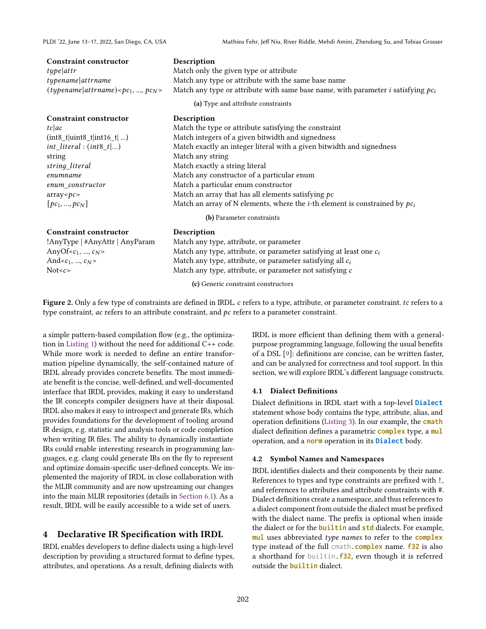#### <span id="page-3-1"></span>Constraint constructor Description

#### Constraint constructor Description

string Match any string

## Constraint constructor Description

*type attr* **a** Match only the given type or attribute typename attending the Match any type or attribute with the same base name (*typename* | attrname) <  $pc_1$ , ...,  $pc_N$ > Match any type or attribute with same base name, with parameter *i* satisfying  $pc_i$ 

(a) Type and attribute constraints

| Match the type or attribute satisfying the constraint (int8\_t|uint8\_t|int16\_t| ...) Match integers of a given bitwidth and signedness  $int\_literal : (int8\_t)...)$  Match exactly an integer literal with a given bitwidth and signedness string literal Match exactly a string literal Match any constructor of a particular enum enum constructor Match a particular enum constructor array< $\epsilon$  array that has all elements satisfying  $\epsilon$  $[pc_1, ..., p c_N]$  Match an array of N elements, where the *i*-th element is constrained by  $p c_i$ 

(b) Parameter constraints

!AnyType | #AnyAttr | AnyParam Match any type, attribute, or parameter AnyOf< $c_1$ , ...,  $c_N$ > Match any type, attribute, or parameter satisfying at least one  $c_i$ And  $c_1, ..., c_N$  Match any type, attribute, or parameter satisfying all  $c_i$ Not < c>
Match any type, attribute, or parameter not satisfying c

(c) Generic constraint constructors

Figure 2. Only a few type of constraints are defined in IRDL.  $c$  refers to a type, attribute, or parameter constraint.  $tc$  refers to a type constraint,  $ac$  refers to an attribute constraint, and  $pc$  refers to a parameter constraint.

a simple pattern-based compilation flow (e.g., the optimization in [Listing 1\)](#page-1-1) without the need for additional C++ code. While more work is needed to define an entire transformation pipeline dynamically, the self-contained nature of IRDL already provides concrete benefits. The most immediate benefit is the concise, well-defined, and well-documented interface that IRDL provides, making it easy to understand the IR concepts compiler designers have at their disposal. IRDL also makes it easy to introspect and generate IRs, which provides foundations for the development of tooling around IR design, e.g. statistic and analysis tools or code completion when writing IR files. The ability to dynamically instantiate IRs could enable interesting research in programming languages, e.g. clang could generate IRs on the fly to represent and optimize domain-specific user-defined concepts. We implemented the majority of IRDL in close collaboration with the MLIR community and are now upstreaming our changes into the main MLIR repositories (details in [Section 6.1\)](#page-7-0). As a result, IRDL will be easily accessible to a wide set of users.

# <span id="page-3-0"></span>4 Declarative IR Specification with IRDL

IRDL enables developers to define dialects using a high-level description by providing a structured format to define types, attributes, and operations. As a result, defining dialects with

IRDL is more efficient than defining them with a generalpurpose programming language, following the usual benefits of a DSL [\[9\]](#page-13-9): definitions are concise, can be written faster, and can be analyzed for correctness and tool support. In this section, we will explore IRDL's different language constructs.

### 4.1 Dialect Definitions

Dialect definitions in IRDL start with a top-level **Dialect** statement whose body contains the type, attribute, alias, and operation definitions [\(Listing 3\)](#page-4-0). In our example, the **cmath** dialect definition defines a parametric **complex** type, a **mul** operation, and a **norm** operation in its **Dialect** body.

### 4.2 Symbol Names and Namespaces

IRDL identifies dialects and their components by their name. References to types and type constraints are prefixed with !, and references to attributes and attribute constraints with #. Dialect definitions create a namespace, and thus references to a dialect component from outside the dialect must be prefixed with the dialect name. The prefix is optional when inside the dialect or for the **builtin** and **std** dialects. For example, **mul** uses abbreviated type names to refer to the **complex** type instead of the full cmath.**complex** name. **f32** is also a shorthand for builtin.**f32**, even though it is referred outside the **builtin** dialect.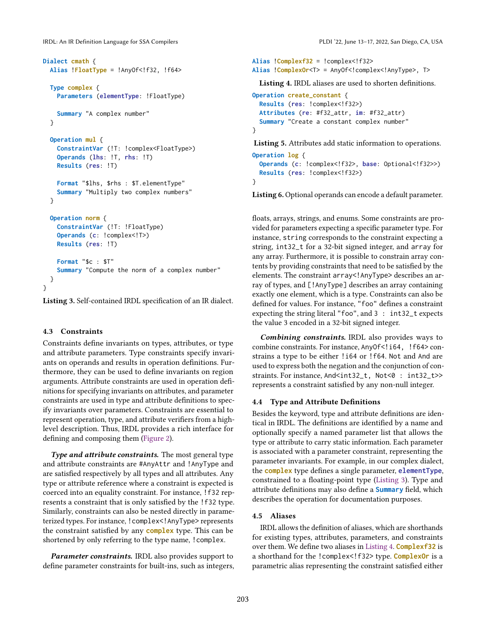```
Dialect cmath {
 Alias !FloatType = !AnyOf<!f32, !f64>
  Type complex {
    Parameters (elementType: !FloatType)
   Summary "A complex number"
  }
  Operation mul {
   ConstraintVar (!T: !complex<FloatType>)
    Operands (lhs: !T, rhs: !T)
    Results (res: !T)
    Format "$lhs, $rhs : $T.elementType"
    Summary "Multiply two complex numbers"
  }
  Operation norm {
    ConstraintVar (!T: !FloatType)
    Operands (c: !complex<!T>)
    Results (res: !T)
    Format "$c : $T"
    Summary "Compute the norm of a complex number"
 }
}
```
Listing 3. Self-contained IRDL specification of an IR dialect.

### 4.3 Constraints

Constraints define invariants on types, attributes, or type and attribute parameters. Type constraints specify invariants on operands and results in operation definitions. Furthermore, they can be used to define invariants on region arguments. Attribute constraints are used in operation definitions for specifying invariants on attributes, and parameter constraints are used in type and attribute definitions to specify invariants over parameters. Constraints are essential to represent operation, type, and attribute verifiers from a highlevel description. Thus, IRDL provides a rich interface for defining and composing them [\(Figure 2\)](#page-3-1).

Type and attribute constraints. The most general type and attribute constraints are #AnyAttr and !AnyType and are satisfied respectively by all types and all attributes. Any type or attribute reference where a constraint is expected is coerced into an equality constraint. For instance, !f32 represents a constraint that is only satisfied by the !f32 type. Similarly, constraints can also be nested directly in parameterized types. For instance, !complex<!AnyType> represents the constraint satisfied by any **complex** type. This can be shortened by only referring to the type name, !complex.

**Parameter constraints.** IRDL also provides support to define parameter constraints for built-ins, such as integers,

```
Alias !Complexf32 = !complex<!f32>
Alias !ComplexOr<T> = AnyOf<!complex<!AnyType>, T>
```
Listing 4. IRDL aliases are used to shorten definitions.

```
Operation create_constant {
  Results (res: !complex<!f32>)
  Attributes (re: #f32_attr, im: #f32_attr)
  Summary "Create a constant complex number"
}
```
Listing 5. Attributes add static information to operations.

```
Operation log {
  Operands (c: !complex<!f32>, base: Optional<!f32>>)
  Results (res: !complex<!f32>)
}
```
Listing 6. Optional operands can encode a default parameter.

floats, arrays, strings, and enums. Some constraints are provided for parameters expecting a specific parameter type. For instance, string corresponds to the constraint expecting a string, int32\_t for a 32-bit signed integer, and array for any array. Furthermore, it is possible to constrain array contents by providing constraints that need to be satisfied by the elements. The constraint array<!AnyType> describes an array of types, and [!AnyType] describes an array containing exactly one element, which is a type. Constraints can also be defined for values. For instance, "foo" defines a constraint expecting the string literal "foo", and 3 : int32\_t expects the value 3 encoded in a 32-bit signed integer.

Combining constraints. IRDL also provides ways to combine constraints. For instance, AnyOf<!164, !f64> constrains a type to be either !i64 or !f64. Not and And are used to express both the negation and the conjunction of constraints. For instance, And<int32\_t, Not<0: int32\_t>> represents a constraint satisfied by any non-null integer.

#### 4.4 Type and Attribute Definitions

Besides the keyword, type and attribute definitions are identical in IRDL. The definitions are identified by a name and optionally specify a named parameter list that allows the type or attribute to carry static information. Each parameter is associated with a parameter constraint, representing the parameter invariants. For example, in our complex dialect, the **complex** type defines a single parameter, **elementType**, constrained to a floating-point type [\(Listing 3\)](#page-4-0). Type and attribute definitions may also define a **Summary** field, which describes the operation for documentation purposes.

# 4.5 Aliases

IRDL allows the definition of aliases, which are shorthands for existing types, attributes, parameters, and constraints over them. We define two aliases in [Listing 4.](#page-4-1) **Complexf32** is a shorthand for the !complex<!f32> type. **ComplexOr** is a parametric alias representing the constraint satisfied either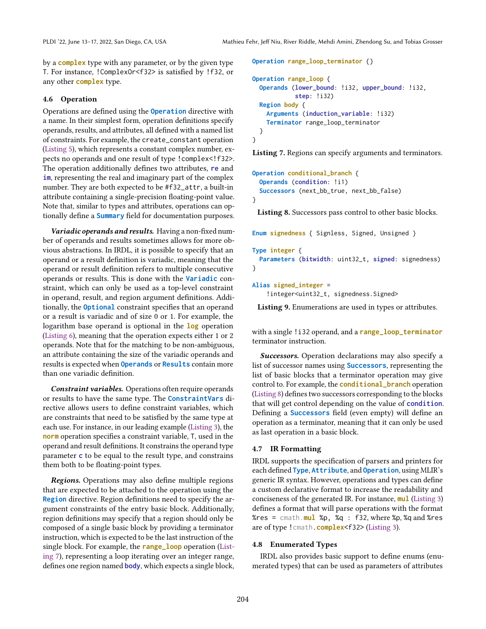by a **complex** type with any parameter, or by the given type T. For instance, !ComplexOr<f32> is satisfied by !f32, or any other **complex** type.

### 4.6 Operation

Operations are defined using the **Operation** directive with a name. In their simplest form, operation definitions specify operands, results, and attributes, all defined with a named list of constraints. For example, the create\_constant operation [\(Listing 5\)](#page-4-2), which represents a constant complex number, expects no operands and one result of type !complex<!f32>. The operation additionally defines two attributes, **re** and **im**, representing the real and imaginary part of the complex number. They are both expected to be #f32\_attr, a built-in attribute containing a single-precision floating-point value. Note that, similar to types and attributes, operations can optionally define a **Summary** field for documentation purposes.

Variadic operands and results. Having a non-fixed number of operands and results sometimes allows for more obvious abstractions. In IRDL, it is possible to specify that an operand or a result definition is variadic, meaning that the operand or result definition refers to multiple consecutive operands or results. This is done with the **Variadic** constraint, which can only be used as a top-level constraint in operand, result, and region argument definitions. Additionally, the **Optional** constraint specifies that an operand or a result is variadic and of size 0 or 1. For example, the logarithm base operand is optional in the **log** operation [\(Listing 6\)](#page-4-3), meaning that the operation expects either 1 or 2 operands. Note that for the matching to be non-ambiguous, an attribute containing the size of the variadic operands and results is expected when **Operands** or **Results** contain more than one variadic definition.

Constraint variables. Operations often require operands or results to have the same type. The **ConstraintVars** directive allows users to define constraint variables, which are constraints that need to be satisfied by the same type at each use. For instance, in our leading example [\(Listing 3\)](#page-4-0), the **norm** operation specifies a constraint variable, T, used in the operand and result definitions. It constrains the operand type parameter **c** to be equal to the result type, and constrains them both to be floating-point types.

Regions. Operations may also define multiple regions that are expected to be attached to the operation using the **Region** directive. Region definitions need to specify the argument constraints of the entry basic block. Additionally, region definitions may specify that a region should only be composed of a single basic block by providing a terminator instruction, which is expected to be the last instruction of the single block. For example, the **range\_loop** operation [\(List](#page-5-0)[ing 7\)](#page-5-0), representing a loop iterating over an integer range, defines one region named **body**, which expects a single block, <span id="page-5-0"></span>**Operation range\_loop\_terminator** {} **Operation range\_loop** { **Operands** (**lower\_bound**: !i32, **upper\_bound**: !i32, **step**: !i32) **Region body** { **Arguments** (**induction\_variable**: !i32) **Terminator** range\_loop\_terminator }

```
}
```
Listing 7. Regions can specify arguments and terminators.

```
Operation conditional_branch {
  Operands (condition: !i1)
  Successors (next_bb_true, next_bb_false)
}
```
Listing 8. Successors pass control to other basic blocks.

<span id="page-5-2"></span>**Enum signedness** { Signless, Signed, Unsigned }

```
Type integer {
 Parameters (bitwidth: uint32_t, signed: signedness)
}
```

```
Alias signed_integer =
```
!integer<uint32\_t, signedness.Signed>

Listing 9. Enumerations are used in types or attributes.

with a single !i32 operand, and a **range\_loop\_terminator** terminator instruction.

**Successors.** Operation declarations may also specify a list of successor names using **Successors**, representing the list of basic blocks that a terminator operation may give control to. For example, the **conditional\_branch** operation [\(Listing 8\)](#page-5-1) defines two successors corresponding to the blocks that will get control depending on the value of **condition**. Defining a **Successors** field (even empty) will define an operation as a terminator, meaning that it can only be used as last operation in a basic block.

# 4.7 IR Formatting

IRDL supports the specification of parsers and printers for each defined **Type**, **Attribute**, and **Operation**, using MLIR's generic IR syntax. However, operations and types can define a custom declarative format to increase the readability and conciseness of the generated IR. For instance, **mul** [\(Listing 3\)](#page-4-0) defines a format that will parse operations with the format %res = cmath.**mul** %p, %q : f32, where %p, %q and %res are of type !cmath.**complex**<f32> [\(Listing 3\)](#page-4-0).

#### 4.8 Enumerated Types

IRDL also provides basic support to define enums (enumerated types) that can be used as parameters of attributes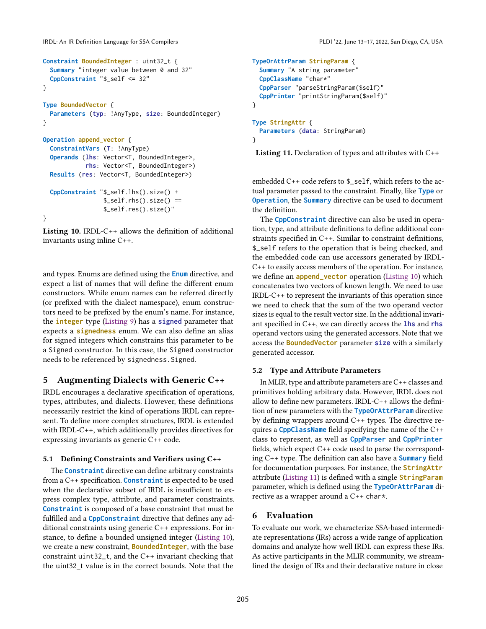```
Constraint BoundedInteger : uint32_t {
  Summary "integer value between 0 and 32"
  CppConstraint "$_self <= 32"
}
Type BoundedVector {
  Parameters (typ: !AnyType, size: BoundedInteger)
}
Operation append_vector {
  ConstraintVars (T: !AnyType)
  Operands (lhs: Vector<T, BoundedInteger>,
            rhs: Vector<T, BoundedInteger>)
  Results (res: Vector<T, BoundedInteger>)
  CppConstraint "$_self.lhs().size() +
                 \S_self.rhs().size() ==
                 $_self.res().size()"
}
```
Listing 10. IRDL-C $++$  allows the definition of additional invariants using inline C++.

and types. Enums are defined using the **Enum** directive, and expect a list of names that will define the different enum constructors. While enum names can be referred directly (or prefixed with the dialect namespace), enum constructors need to be prefixed by the enum's name. For instance, the **integer** type [\(Listing 9\)](#page-5-2) has a **signed** parameter that expects a **signedness** enum. We can also define an alias for signed integers which constrains this parameter to be a Signed constructor. In this case, the Signed constructor needs to be referenced by signedness.Signed.

# <span id="page-6-0"></span>5 Augmenting Dialects with Generic C++

IRDL encourages a declarative specification of operations, types, attributes, and dialects. However, these definitions necessarily restrict the kind of operations IRDL can represent. To define more complex structures, IRDL is extended with IRDL-C++, which additionally provides directives for expressing invariants as generic C++ code.

### 5.1 Defining Constraints and Verifiers using C++

The **Constraint** directive can define arbitrary constraints from a C++ specification. **Constraint** is expected to be used when the declarative subset of IRDL is insufficient to express complex type, attribute, and parameter constraints. **Constraint** is composed of a base constraint that must be fulfilled and a **CppConstraint** directive that defines any additional constraints using generic C++ expressions. For instance, to define a bounded unsigned integer [\(Listing 10\)](#page-6-2), we create a new constraint, **BoundedInteger**, with the base constraint uint32\_t, and the C++ invariant checking that the uint32\_t value is in the correct bounds. Note that the

```
TypeOrAttrParam StringParam {
  Summary "A string parameter"
  CppClassName "char*"
  CppParser "parseStringParam($self)"
  CppPrinter "printStringParam($self)"
}
Type StringAttr {
  Parameters (data: StringParam)
```
}

Listing 11. Declaration of types and attributes with C++

embedded C++ code refers to \$\_self, which refers to the actual parameter passed to the constraint. Finally, like **Type** or **Operation**, the **Summary** directive can be used to document the definition.

The **CppConstraint** directive can also be used in operation, type, and attribute definitions to define additional constraints specified in C++. Similar to constraint definitions, \$\_self refers to the operation that is being checked, and the embedded code can use accessors generated by IRDL-C++ to easily access members of the operation. For instance, we define an **append\_vector** operation [\(Listing 10\)](#page-6-2) which concatenates two vectors of known length. We need to use IRDL-C++ to represent the invariants of this operation since we need to check that the sum of the two operand vector sizes is equal to the result vector size. In the additional invariant specified in C++, we can directly access the **lhs** and **rhs** operand vectors using the generated accessors. Note that we access the **BoundedVector** parameter **size** with a similarly generated accessor.

#### 5.2 Type and Attribute Parameters

In MLIR, type and attribute parameters are C++ classes and primitives holding arbitrary data. However, IRDL does not allow to define new parameters. IRDL-C++ allows the definition of new parameters with the **TypeOrAttrParam** directive by defining wrappers around C++ types. The directive requires a **CppClassName** field specifying the name of the C++ class to represent, as well as **CppParser** and **CppPrinter** fields, which expect C++ code used to parse the corresponding C++ type. The definition can also have a **Summary** field for documentation purposes. For instance, the **StringAttr** attribute [\(Listing 11\)](#page-6-3) is defined with a single **StringParam** parameter, which is defined using the **TypeOrAttrParam** directive as a wrapper around a C++ char\*.

# <span id="page-6-1"></span>6 Evaluation

To evaluate our work, we characterize SSA-based intermediate representations (IRs) across a wide range of application domains and analyze how well IRDL can express these IRs. As active participants in the MLIR community, we streamlined the design of IRs and their declarative nature in close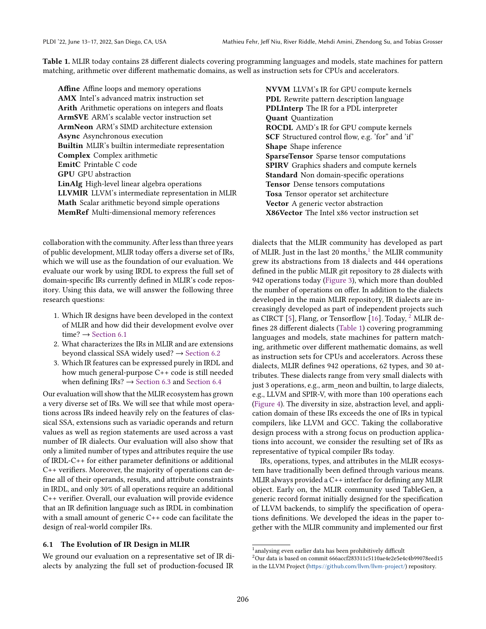<span id="page-7-3"></span>Table 1. MLIR today contains 28 different dialects covering programming languages and models, state machines for pattern matching, arithmetic over different mathematic domains, as well as instruction sets for CPUs and accelerators.

Affine Affine loops and memory operations AMX Intel's advanced matrix instruction set Arith Arithmetic operations on integers and floats ArmSVE ARM's scalable vector instruction set ArmNeon ARM's SIMD architecture extension Async Asynchronous execution Builtin MLIR's builtin intermediate representation Complex Complex arithmetic EmitC Printable C code GPU GPU abstraction LinAlg High-level linear algebra operations LLVMIR LLVM's intermediate representation in MLIR Math Scalar arithmetic beyond simple operations MemRef Multi-dimensional memory references

collaboration with the community. After less than three years of public development, MLIR today offers a diverse set of IRs, which we will use as the foundation of our evaluation. We evaluate our work by using IRDL to express the full set of domain-specific IRs currently defined in MLIR's code repository. Using this data, we will answer the following three research questions:

- 1. Which IR designs have been developed in the context of MLIR and how did their development evolve over time?  $\rightarrow$  [Section 6.1](#page-7-0)
- 2. What characterizes the IRs in MLIR and are extensions beyond classical SSA widely used?  $\rightarrow$  [Section 6.2](#page-8-0)
- 3. Which IR features can be expressed purely in IRDL and how much general-purpose C++ code is still needed when defining IRs?  $\rightarrow$  [Section 6.3](#page-10-0) and [Section 6.4](#page-10-1)

Our evaluation will show that the MLIR ecosystem has grown a very diverse set of IRs. We will see that while most operations across IRs indeed heavily rely on the features of classical SSA, extensions such as variadic operands and return values as well as region statements are used across a vast number of IR dialects. Our evaluation will also show that only a limited number of types and attributes require the use of IRDL-C++ for either parameter definitions or additional C++ verifiers. Moreover, the majority of operations can define all of their operands, results, and attribute constraints in IRDL, and only 30% of all operations require an additional C++ verifier. Overall, our evaluation will provide evidence that an IR definition language such as IRDL in combination with a small amount of generic C++ code can facilitate the design of real-world compiler IRs.

#### <span id="page-7-0"></span>6.1 The Evolution of IR Design in MLIR

We ground our evaluation on a representative set of IR dialects by analyzing the full set of production-focused IR

NVVM LLVM's IR for GPU compute kernels PDL Rewrite pattern description language PDLInterp The IR for a PDL interpreter Quant Quantization ROCDL AMD's IR for GPU compute kernels SCF Structured control flow, e.g. 'for" and 'if' Shape Shape inference SparseTensor Sparse tensor computations SPIRV Graphics shaders and compute kernels Standard Non domain-specific operations Tensor Dense tensors computations Tosa Tensor operator set architecture Vector A generic vector abstraction X86Vector The Intel x86 vector instruction set

dialects that the MLIR community has developed as part of MLIR. Just in the last 20 months,<sup>[1](#page-7-1)</sup> the MLIR community grew its abstractions from 18 dialects and 444 operations defined in the public MLIR git repository to 28 dialects with 942 operations today [\(Figure 3\)](#page-8-1), which more than doubled the number of operations on offer. In addition to the dialects developed in the main MLIR repository, IR dialects are increasingly developed as part of independent projects such as CIRCT [\[5\]](#page-13-10), Flang, or Tensorflow [\[16\]](#page-13-11). Today, <sup>[2](#page-7-2)</sup> MLIR defines 28 different dialects [\(Table 1\)](#page-7-3) covering programming languages and models, state machines for pattern matching, arithmetic over different mathematic domains, as well as instruction sets for CPUs and accelerators. Across these dialects, MLIR defines 942 operations, 62 types, and 30 attributes. These dialects range from very small dialects with just 3 operations, e.g., arm\_neon and builtin, to large dialects, e.g., LLVM and SPIR-V, with more than 100 operations each [\(Figure 4\)](#page-8-2). The diversity in size, abstraction level, and application domain of these IRs exceeds the one of IRs in typical compilers, like LLVM and GCC. Taking the collaborative design process with a strong focus on production applications into account, we consider the resulting set of IRs as representative of typical compiler IRs today.

IRs, operations, types, and attributes in the MLIR ecosystem have traditionally been defined through various means. MLIR always provided a C++ interface for defining any MLIR object. Early on, the MLIR community used TableGen, a generic record format initially designed for the specification of LLVM backends, to simplify the specification of operations definitions. We developed the ideas in the paper together with the MLIR community and implemented our first

<span id="page-7-1"></span><sup>&</sup>lt;sup>1</sup> analysing even earlier data has been prohibitively difficult

<span id="page-7-2"></span><sup>2</sup>Our data is based on commit 666accf283311c5110ae4e2e5e4c4b99078eed15 in the LLVM Project (<https://github.com/llvm/llvm-project/>) repository.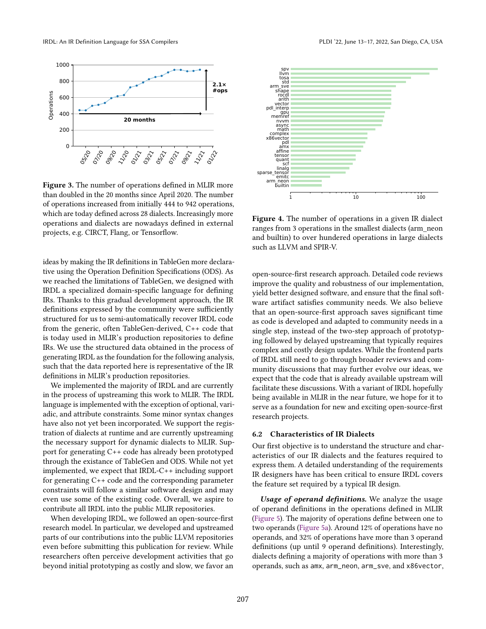<span id="page-8-1"></span>

Figure 3. The number of operations defined in MLIR more than doubled in the 20 months since April 2020. The number of operations increased from initially 444 to 942 operations, which are today defined across 28 dialects. Increasingly more operations and dialects are nowadays defined in external projects, e.g. CIRCT, Flang, or Tensorflow.

ideas by making the IR definitions in TableGen more declarative using the Operation Definition Specifications (ODS). As we reached the limitations of TableGen, we designed with IRDL a specialized domain-specific language for defining IRs. Thanks to this gradual development approach, the IR definitions expressed by the community were sufficiently structured for us to semi-automatically recover IRDL code from the generic, often TableGen-derived, C++ code that is today used in MLIR's production repositories to define IRs. We use the structured data obtained in the process of generating IRDL as the foundation for the following analysis, such that the data reported here is representative of the IR definitions in MLIR's production repositories.

We implemented the majority of IRDL and are currently in the process of upstreaming this work to MLIR. The IRDL language is implemented with the exception of optional, variadic, and attribute constraints. Some minor syntax changes have also not yet been incorporated. We support the registration of dialects at runtime and are currently upstreaming the necessary support for dynamic dialects to MLIR. Support for generating C++ code has already been prototyped through the existance of TableGen and ODS. While not yet implemented, we expect that IRDL-C++ including support for generating C++ code and the corresponding parameter constraints will follow a similar software design and may even use some of the existing code. Overall, we aspire to contribute all IRDL into the public MLIR repositories.

When developing IRDL, we followed an open-source-first research model. In particular, we developed and upstreamed parts of our contributions into the public LLVM repositories even before submitting this publication for review. While researchers often perceive development activities that go beyond initial prototyping as costly and slow, we favor an

<span id="page-8-2"></span>

Figure 4. The number of operations in a given IR dialect ranges from 3 operations in the smallest dialects (arm\_neon and builtin) to over hundered operations in large dialects such as LLVM and SPIR-V.

open-source-first research approach. Detailed code reviews improve the quality and robustness of our implementation, yield better designed software, and ensure that the final software artifact satisfies community needs. We also believe that an open-source-first approach saves significant time as code is developed and adapted to community needs in a single step, instead of the two-step approach of prototyping followed by delayed upstreaming that typically requires complex and costly design updates. While the frontend parts of IRDL still need to go through broader reviews and community discussions that may further evolve our ideas, we expect that the code that is already available upstream will facilitate these discussions. With a variant of IRDL hopefully being available in MLIR in the near future, we hope for it to serve as a foundation for new and exciting open-source-first research projects.

# <span id="page-8-0"></span>6.2 Characteristics of IR Dialects

Our first objective is to understand the structure and characteristics of our IR dialects and the features required to express them. A detailed understanding of the requirements IR designers have has been critical to ensure IRDL covers the feature set required by a typical IR design.

Usage of operand definitions. We analyze the usage of operand definitions in the operations defined in MLIR [\(Figure 5\)](#page-9-0). The majority of operations define between one to two operands [\(Figure 5a\)](#page-9-0). Around 12% of operations have no operands, and 32% of operations have more than 3 operand definitions (up until 9 operand definitions). Interestingly, dialects defining a majority of operations with more than 3 operands, such as amx, arm\_neon, arm\_sve, and x86vector,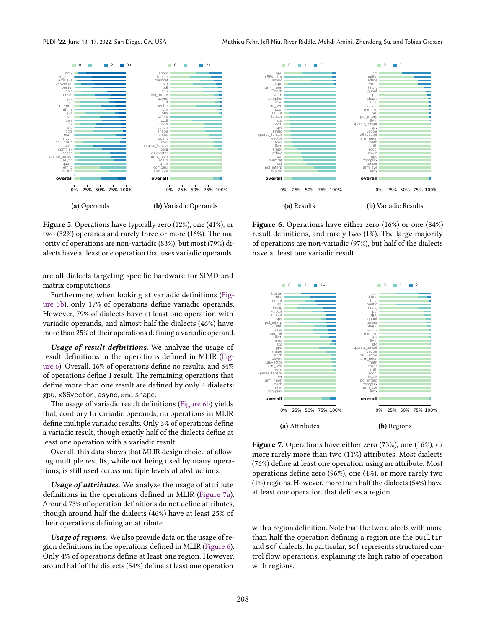<span id="page-9-0"></span>

Figure 5. Operations have typically zero (12%), one (41%), or two (32%) operands and rarely three or more (16%). The majority of operations are non-variadic (83%), but most (79%) dialects have at least one operation that uses variadic operands.

are all dialects targeting specific hardware for SIMD and matrix computations.

Furthermore, when looking at variadic definitions [\(Fig](#page-9-0)[ure 5b\)](#page-9-0), only 17% of operations define variadic operands. However, 79% of dialects have at least one operation with variadic operands, and almost half the dialects (46%) have more than 25% of their operations defining a variadic operand.

Usage of result definitions. We analyze the usage of result definitions in the operations defined in MLIR [\(Fig](#page-9-1)[ure 6\)](#page-9-1). Overall, 16% of operations define no results, and 84% of operations define 1 result. The remaining operations that define more than one result are defined by only 4 dialects: gpu, x86vector, async, and shape.

The usage of variadic result definitions [\(Figure 6b\)](#page-9-1) yields that, contrary to variadic operands, no operations in MLIR define multiple variadic results. Only 3% of operations define a variadic result, though exactly half of the dialects define at least one operation with a variadic result.

Overall, this data shows that MLIR design choice of allowing multiple results, while not being used by many operations, is still used across multiple levels of abstractions.

Usage of attributes. We analyze the usage of attribute definitions in the operations defined in MLIR [\(Figure 7a\)](#page-9-2). Around 73% of operation definitions do not define attributes, though around half the dialects (46%) have at least 25% of their operations defining an attribute.

Usage of regions. We also provide data on the usage of region definitions in the operations defined in MLIR [\(Figure 6\)](#page-9-1). Only 4% of operations define at least one region. However, around half of the dialects (54%) define at least one operation

<span id="page-9-1"></span>

Figure 6. Operations have either zero (16%) or one (84%) result definitions, and rarely two (1%). The large majority of operations are non-variadic (97%), but half of the dialects have at least one variadic result.

<span id="page-9-2"></span>

Figure 7. Operations have either zero (73%), one (16%), or more rarely more than two (11%) attributes. Most dialects (76%) define at least one operation using an attribute. Most operations define zero (96%), one (4%), or more rarely two (1%) regions. However, more than half the dialects (54%) have at least one operation that defines a region.

with a region definition. Note that the two dialects with more than half the operation defining a region are the builtin and scf dialects. In particular, scf represents structured control flow operations, explaining its high ratio of operation with regions.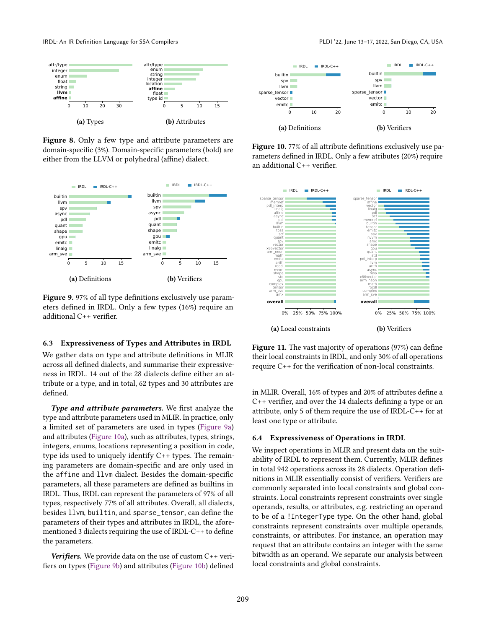

Figure 8. Only a few type and attribute parameters are domain-specific (3%). Domain-specific parameters (bold) are either from the LLVM or polyhedral (affine) dialect.

<span id="page-10-2"></span>

Figure 9. 97% of all type definitions exclusively use parameters defined in IRDL. Only a few types (16%) require an additional C++ verifier.

#### <span id="page-10-0"></span>6.3 Expressiveness of Types and Attributes in IRDL

We gather data on type and attribute definitions in MLIR across all defined dialects, and summarise their expressiveness in IRDL. 14 out of the 28 dialects define either an attribute or a type, and in total, 62 types and 30 attributes are defined.

Type and attribute parameters. We first analyze the type and attribute parameters used in MLIR. In practice, only a limited set of parameters are used in types [\(Figure 9a\)](#page-10-2) and attributes [\(Figure 10a\)](#page-10-3), such as attributes, types, strings, integers, enums, locations representing a position in code, type ids used to uniquely identify C++ types. The remaining parameters are domain-specific and are only used in the affine and llvm dialect. Besides the domain-specific parameters, all these parameters are defined as builtins in IRDL. Thus, IRDL can represent the parameters of 97% of all types, respectively 77% of all attributes. Overall, all dialects, besides llvm, builtin, and sparse\_tensor, can define the parameters of their types and attributes in IRDL, the aforementioned 3 dialects requiring the use of IRDL-C++ to define the parameters.

Verifiers. We provide data on the use of custom  $C++$  verifiers on types [\(Figure 9b\)](#page-10-2) and attributes [\(Figure 10b\)](#page-10-3) defined

<span id="page-10-3"></span>

Figure 10. 77% of all attribute definitions exclusively use parameters defined in IRDL. Only a few atributes (20%) require an additional C++ verifier.

<span id="page-10-4"></span>

Figure 11. The vast majority of operations (97%) can define their local constraints in IRDL, and only 30% of all operations require C++ for the verification of non-local constraints.

in MLIR. Overall, 16% of types and 20% of attributes define a C++ verifier, and over the 14 dialects defining a type or an attribute, only 5 of them require the use of IRDL-C++ for at least one type or attribute.

### <span id="page-10-1"></span>6.4 Expressiveness of Operations in IRDL

We inspect operations in MLIR and present data on the suitability of IRDL to represent them. Currently, MLIR defines in total 942 operations across its 28 dialects. Operation definitions in MLIR essentially consist of verifiers. Verifiers are commonly separated into local constraints and global constraints. Local constraints represent constraints over single operands, results, or attributes, e.g. restricting an operand to be of a !IntegerType type. On the other hand, global constraints represent constraints over multiple operands, constraints, or attributes. For instance, an operation may request that an attribute contains an integer with the same bitwidth as an operand. We separate our analysis between local constraints and global constraints.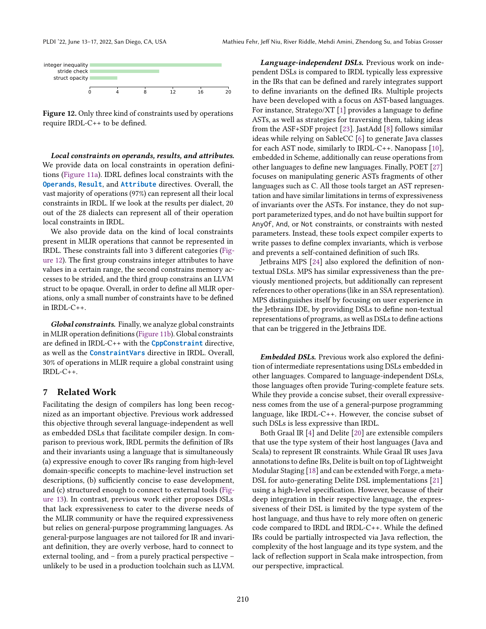<span id="page-11-0"></span>

Figure 12. Only three kind of constraints used by operations require IRDL-C++ to be defined.

Local constraints on operands, results, and attributes. We provide data on local constraints in operation definitions [\(Figure 11a\)](#page-10-4). IDRL defines local constraints with the **Operands**, **Result**, and **Attribute** directives. Overall, the vast majority of operations (97%) can represent all their local constraints in IRDL. If we look at the results per dialect, 20 out of the 28 dialects can represent all of their operation local constraints in IRDL.

We also provide data on the kind of local constraints present in MLIR operations that cannot be represented in IRDL. These constraints fall into 3 different categories [\(Fig](#page-11-0)[ure 12\)](#page-11-0). The first group constrains integer attributes to have values in a certain range, the second constrains memory accesses to be strided, and the third group constrains an LLVM struct to be opaque. Overall, in order to define all MLIR operations, only a small number of constraints have to be defined in IRDL-C++.

Global constraints. Finally, we analyze global constraints in MLIR operation definitions [\(Figure 11b\)](#page-10-4). Global constraints are defined in IRDL-C++ with the **CppConstraint** directive, as well as the **ConstraintVars** directive in IRDL. Overall, 30% of operations in MLIR require a global constraint using IRDL-C++.

# 7 Related Work

Facilitating the design of compilers has long been recognized as an important objective. Previous work addressed this objective through several language-independent as well as embedded DSLs that facilitate compiler design. In comparison to previous work, IRDL permits the definition of IRs and their invariants using a language that is simultaneously (a) expressive enough to cover IRs ranging from high-level domain-specific concepts to machine-level instruction set descriptions, (b) sufficiently concise to ease development, and (c) structured enough to connect to external tools [\(Fig](#page-12-1)[ure 13\)](#page-12-1). In contrast, previous work either proposes DSLs that lack expressiveness to cater to the diverse needs of the MLIR community or have the required expressiveness but relies on general-purpose programming languages. As general-purpose languages are not tailored for IR and invariant definition, they are overly verbose, hard to connect to external tooling, and - from a purely practical perspective unlikely to be used in a production toolchain such as LLVM.

Language-independent DSLs. Previous work on independent DSLs is compared to IRDL typically less expressive in the IRs that can be defined and rarely integrates support to define invariants on the defined IRs. Multiple projects have been developed with a focus on AST-based languages. For instance, Stratego/XT [\[1\]](#page-12-2) provides a language to define ASTs, as well as strategies for traversing them, taking ideas from the ASF+SDF project [\[23\]](#page-13-12). JastAdd [\[8\]](#page-13-13) follows similar ideas while relying on SableCC [\[6\]](#page-13-14) to generate Java classes for each AST node, similarly to IRDL-C++. Nanopass [\[10\]](#page-13-15), embedded in Scheme, additionally can reuse operations from other languages to define new languages. Finally, POET [\[27\]](#page-13-16) focuses on manipulating generic ASTs fragments of other languages such as C. All those tools target an AST representation and have similar limitations in terms of expressiveness of invariants over the ASTs. For instance, they do not support parameterized types, and do not have builtin support for AnyOf, And, or Not constraints, or constraints with nested parameters. Instead, these tools expect compiler experts to write passes to define complex invariants, which is verbose and prevents a self-contained definition of such IRs.

Jetbrains MPS [\[24\]](#page-13-17) also explored the definition of nontextual DSLs. MPS has similar expressiveness than the previously mentioned projects, but additionally can represent references to other operations (like in an SSA representation). MPS distinguishes itself by focusing on user experience in the Jetbrains IDE, by providing DSLs to define non-textual representations of programs, as well as DSLs to define actions that can be triggered in the Jetbrains IDE.

Embedded DSLs. Previous work also explored the definition of intermediate representations using DSLs embedded in other languages. Compared to language-independent DSLs, those languages often provide Turing-complete feature sets. While they provide a concise subset, their overall expressiveness comes from the use of a general-purpose programming language, like IRDL-C++. However, the concise subset of such DSLs is less expressive than IRDL.

Both Graal IR [\[4\]](#page-13-18) and Delite [\[20\]](#page-13-19) are extensible compilers that use the type system of their host languages (Java and Scala) to represent IR constraints. While Graal IR uses Java annotations to define IRs, Delite is built on top of Lightweight Modular Staging [\[18\]](#page-13-20) and can be extended with Forge, a meta-DSL for auto-generating Delite DSL implementations [\[21\]](#page-13-21) using a high-level specification. However, because of their deep integration in their respective language, the expressiveness of their DSL is limited by the type system of the host language, and thus have to rely more often on generic code compared to IRDL and IRDL-C++. While the defined IRs could be partially introspected via Java reflection, the complexity of the host language and its type system, and the lack of reflection support in Scala make introspection, from our perspective, impractical.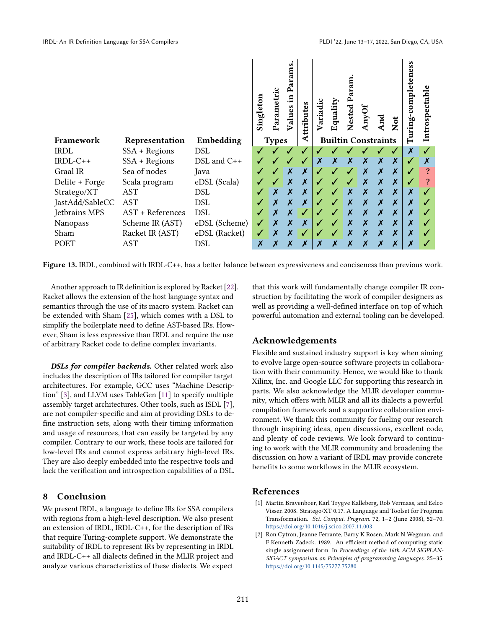<span id="page-12-1"></span>

Figure 13. IRDL, combined with IRDL-C++, has a better balance between expressiveness and conciseness than previous work.

Another approach to IR definition is explored by Racket [\[22\]](#page-13-22). Racket allows the extension of the host language syntax and semantics through the use of its macro system. Racket can be extended with Sham [\[25\]](#page-13-23), which comes with a DSL to simplify the boilerplate need to define AST-based IRs. However, Sham is less expressive than IRDL and require the use of arbitrary Racket code to define complex invariants.

DSLs for compiler backends. Other related work also includes the description of IRs tailored for compiler target architectures. For example, GCC uses "Machine Descrip-tion" [\[3\]](#page-13-24), and LLVM uses TableGen [\[11\]](#page-13-7) to specify multiple assembly target architectures. Other tools, such as ISDL [\[7\]](#page-13-25), are not compiler-specific and aim at providing DSLs to define instruction sets, along with their timing information and usage of resources, that can easily be targeted by any compiler. Contrary to our work, these tools are tailored for low-level IRs and cannot express arbitrary high-level IRs. They are also deeply embedded into the respective tools and lack the verification and introspection capabilities of a DSL.

# 8 Conclusion

We present IRDL, a language to define IRs for SSA compilers with regions from a high-level description. We also present an extension of IRDL, IRDL-C++, for the description of IRs that require Turing-complete support. We demonstrate the suitability of IRDL to represent IRs by representing in IRDL and IRDL-C++ all dialects defined in the MLIR project and analyze various characteristics of these dialects. We expect

that this work will fundamentally change compiler IR construction by facilitating the work of compiler designers as well as providing a well-defined interface on top of which powerful automation and external tooling can be developed.

# Acknowledgements

Flexible and sustained industry support is key when aiming to evolve large open-source software projects in collaboration with their community. Hence, we would like to thank Xilinx, Inc. and Google LLC for supporting this research in parts. We also acknowledge the MLIR developer community, which offers with MLIR and all its dialects a powerful compilation framework and a supportive collaboration environment. We thank this community for fueling our research through inspiring ideas, open discussions, excellent code, and plenty of code reviews. We look forward to continuing to work with the MLIR community and broadening the discussion on how a variant of IRDL may provide concrete benefits to some workflows in the MLIR ecosystem.

# References

- <span id="page-12-2"></span>[1] Martin Bravenboer, Karl Trygve Kalleberg, Rob Vermaas, and Eelco Visser. 2008. Stratego/XT 0.17. A Language and Toolset for Program Transformation. Sci. Comput. Program. 72, 1-2 (June 2008), 52-70. <https://doi.org/10.1016/j.scico.2007.11.003>
- <span id="page-12-0"></span>[2] Ron Cytron, Jeanne Ferrante, Barry K Rosen, Mark N Wegman, and F Kenneth Zadeck. 1989. An efficient method of computing static single assignment form. In Proceedings of the 16th ACM SIGPLAN-SIGACT symposium on Principles of programming languages. 25-35. <https://doi.org/10.1145/75277.75280>